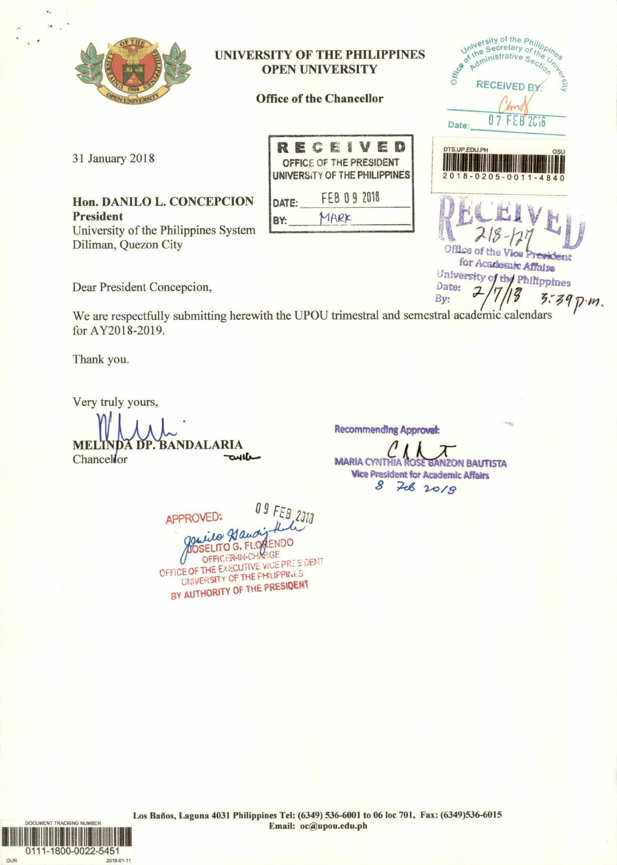

## **UNIVERSITY OF THE PHILIPPINES OPEN UNIVERSITY**

**Office of the Chancellor** 

31 January 2018

Hon. DANILO L. CONCEPCION **President** University of the Philippines System Diliman, Quezon City

| RECEIVED                                                 |  |              |      |  |  |  |  |  |  |
|----------------------------------------------------------|--|--------------|------|--|--|--|--|--|--|
| OFFICE OF THE PRESIDENT<br>UNIVERSITY OF THE PHILIPPINES |  |              |      |  |  |  |  |  |  |
| DATE:                                                    |  | FEB 0 9 2018 |      |  |  |  |  |  |  |
|                                                          |  |              | YARK |  |  |  |  |  |  |

Dear President Concepcion,

 $5.39$   $m.$ We are respectfully submitting herewith the UPOU trimestral and semestral academic calendars for AY2018-2019.

Thank you.

Very truly yours,

**A DP. BANDALARIA MELT** oulle Chancellor

**Recommending Approval:** 

**MARIA CYNTHIA BANZON BAUTISTA Vice President for Academic Affairs** 708 2018 8

University of the *Philip*<br>Universecretary of the<br>9<sup>01</sup> dministrative Series Administrative Sec

**RECEIVED BY** 

07 FEB 2018

 $-0205 - 0011 - 4840$ 

**Castlent** 

Office of

Date:

DTS.UP.EDU.PH

Office of the Vice

Date:

By:

for Academic Affains University of the Philippines

09 FEB 2018 APPROVED: garried Hand **OSELITO G. FLOWENDO** GF OFFICER-IN-CHA OFFICE OF THE EXECUTIVE VICE PRESIDENT UNIVERSITY OF THE PHILIPPINES BY AUTHORITY OF THE PRESIDENT

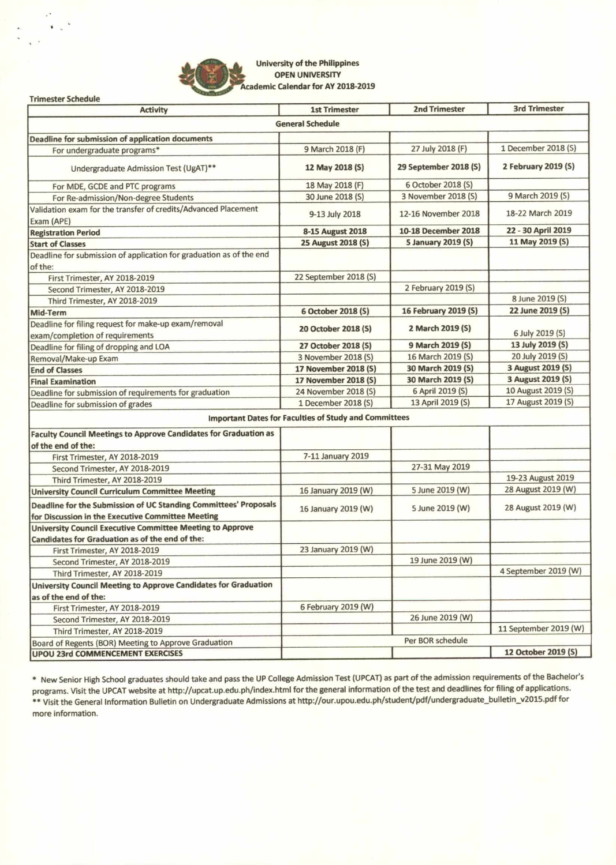

 $\ddot{\bullet}$ 

**University of the Philippines OPEN UNIVERSITY Academic Calendar for AY 2018-2019** 

**Trimester Schedule** Activity **1st Trimester 2nd Trimester** 2nd Trimester 3rd Trimester **General Schedule Deadline for submission of application documents**  For undergraduate programs\* 9 March 2018 (F) 27 July 2018 (F) 1 December 2018 (S) Undergraduate Admission Test (UgAT)\*\* **12 May 2018 (5) 29 September 2018 (S) 2 February 2019 (S)**  For MDE, GCDE and PTC programs 18 May 2018 (F) 6 October 2018 (S)<br>
For Re-admission/Non-degree Students 30 June 2018 (S) 3 November 2018 (S) For Re-admission/Non-degree Students 30 June 2018 (S) 3 November 2018 (S) 9 March 2019 (S) Validation exam for the transfer of credits/Advanced Placement 9-13 July 2018 12-16 November 2018 18-22 March 2019 Exam (APE) Registration Period **8-15 August 2018** 10-18 December 2018 22 - 30 April 2019<br> **Registration Period** 22 - 30 April 2019 (S) 25 August 2018 (S) 5 January 2019 (S) 11 May 2019 (S) **Start of Classes** 2018 (S) 25 August 2018 (S) Deadline for submission of application for graduation as of the end of the: First Trimester, AY 2018-2019 22 September 2018 (S) Second Trimester, AY 2018-2019 2 February 2019 (S) Third Trimester, AY 2018-2019 8 3 and 2019 (S) 8 June 2019 (S) 8 June 2019 (S) 8 June 2019 (S) 8 June 2019 (S) **Mid-Term 6 October 2018 (S) 16 February 2019 (S)** 2019 (S) Deadline for filing request for make-up exam/removal **20 October 2018 (S) 2 March 2019 (5)**  6 July 2019 (5) exam/completion of requirements **Deadline for filing of dropping and LOA 27 October 2018 (5)** 9 March 2019 (5) 13 July 2019 (5) 13 July 2019 (5) 2019 (5) **2019 (5)** Removal/Make-up Exam 3 November 2018 (S) 16 March 2019 (S) 20 July 2019 (S)<br> **17 November 2018 (S) 30 March 2019 (S) 3 August 2019 (S) End of Classes 2018 (5)** 30 March 2019 (5) 30 March 2019 (5) 30 March 2019 (5) 30 March 2019 (5) 3 August 2019 (5)<br> **Einal Examination** 17 November 2018 (5) 30 March 2019 (5) 3 August 2019 (5) **Final Examination 17 November 2018 (5) 30 March 2019 (5) 3 August 2019 (5)** 3 August 2019 (5) 3 August 2019 (5) **3 August 2019 (5) 10 August 2019 (5) 10 August 2019 (5) 10 August 2019 (5) 10 August 2019 (5) 10** Deadline for submission of requirements for graduation 24 November 2018 (S) 6 April 2019 (S) 10 August 2019 (S)<br>Deadline for submission of grades 10 August 2019 (S) 13 April 2019 (S) 17 August 2019 (S) Deadline for submission of grades 1 December 2018 (S) **Important Dates for Faculties of Study and Committees Faculty Council Meetings to Approve Candidates for Graduation as of the end of the:**  First Trimester, AY 2018-2019 7-11 January 2019 Second Trimester, AY 2018-2019 27-31 May 2019 Third Trimester, AY 2018-2019<br>
19-23 August 2019<br>
19-23 August 2019 (W) Trimester, AY 2018-2019 (W) The Sunne 2019 (W) and Sunne 2019 (W) and Sunne 2019 (W) and Sunne 2019 (W) and Sunne 2019 (W) and Sunne 2019 (W) **University Council Curriculum Committee Meeting 16 January 2019 (W)** 3 June 2019 (W) **Deadline for the Submission of UC Standing Committees' Proposals**  16 January 2019 (W) 5 June 2019 (W) 28 August 2019 (W) **for Discussion in the Executive Committee Meeting University Council Executive Committee Meeting to Approve Candidates for Graduation as of the end of the:**  First Trimester, AY 2018-2019 23 January 2019 (W) Second Trimester, AY 2018-2019 19 June 2019 (W) Third Trimester, AY 2018-2019 (W) 4 September 2019 (W) **University Council Meeting to Approve Candidates for Graduation as of the end of the:**  First Trimester, AY 2018-2019 (W) Second Trimester, AY 2018-2019 26 June 2019 (W) Third Trimester, AY 2018-2019<br>
11 September 2019 (W)<br>
11 September 2019 (W) Board of Regents (BOR) Meeting to Approve Graduation **UPOU 23rd COMMENCEMENT EXERCISES 12 October 2019 (5)** 

\* New Senior High School graduates should take and pass the UP College Admission Test (UPCAT) as part of the admission requirements of the Bachelor's programs. Visit the UPCAT website at http://upcat.up.edu.ph/index.html for the general information of the test and deadlines for filing of applications. \*\* Visit the General Information Bulletin on Undergraduate Admissions at http://our.upou.edu.ph/student/pdf/undergraduate\_bulletin\_v2015.pdf for more information.